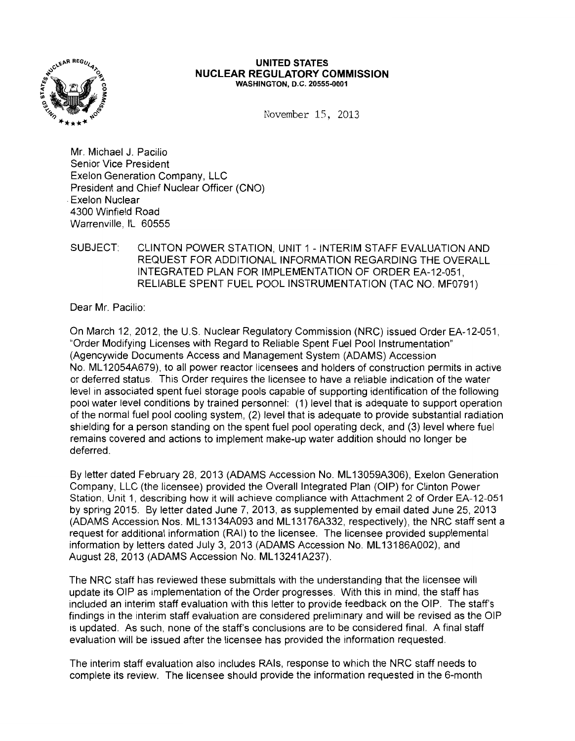

#### **UNITED STATES NUCLEAR REGULATORY COMMISSION**  WASHINGTON, D.C. 20555-0001

November 15, 2013

Mr. Michael J. Pacilio Senior Vice President Exelon Generation Company, LLC President and Chief Nuclear Officer (CNO) . Exelon Nuclear 4300 Winfield Road Warrenville, IL 60555

# SUBJECT: CLINTON POWER STATION, UNIT 1 - INTERIM STAFF EVALUATION AND REQUEST FOR ADDITIONAL INFORMATION REGARDING THE OVERALL INTEGRATED PLAN FOR IMPLEMENTATION OF ORDER EA-12-051, RELIABLE SPENT FUEL POOL INSTRUMENTATION (TAC NO. MF0791)

Dear Mr. Pacilio:

On March 12, 2012, the U.S. Nuclear Regulatory Commission (NRC) issued Order EA-12-051, ''Order Modifying Licenses with Regard to Reliable Spent Fuel Pool Instrumentation" (Agencywide Documents Access and Management System (ADAMS) Accession No. ML 12054A679), to all power reactor licensees and holders of construction permits in active or deferred status. This Order requires the licensee to have a reliable indication of the water level in associated spent fuel storage pools capable of supporting identification of the following pool water level conditions by trained personnel: (1) level that is adequate to support operation of the normal fuel pool cooling system, (2) level that is adequate to provide substantial radiation shielding for a person standing on the spent fuel pool operating deck, and (3) level where fuel remains covered and actions to implement make-up water addition should no longer be deferred.

By letter dated February 28, 2013 (ADAMS Accession No. ML 13059A306), Exelon Generation Company, LLC (the licensee) provided the Overall Integrated Plan (OIP) for Clinton Power Station, Unit 1, describing how it will achieve compliance with Attachment 2 of Order EA-12-051 by spring 2015. By letter dated June 7, 2013, as supplemented by email dated June 25, 2013 (ADAMS Accession Nos. ML 13134A093 and ML 13176A332, respectively), the NRC staff sent a request for additional information (RAI) to the licensee. The licensee provided supplemental information by letters dated July 3, 2013 (ADAMS Accession No. ML13186A002), and August 28, 2013 (ADAMS Accession No. ML13241A237).

The NRC staff has reviewed these submittals with the understanding that the licensee will update its OIP as implementation of the Order progresses. With this in mind, the staff has included an interim staff evaluation with this letter to provide feedback on the OIP. The staff's findings in the interim staff evaluation are considered preliminary and will be revised as the OIP is updated. As such, none of the staff's conclusions are to be considered final. A final staff evaluation will be issued after the licensee has provided the information requested.

The interim staff evaluation also includes RAis, response to which the NRC staff needs to complete its review. The licensee should provide the information requested in the 6-month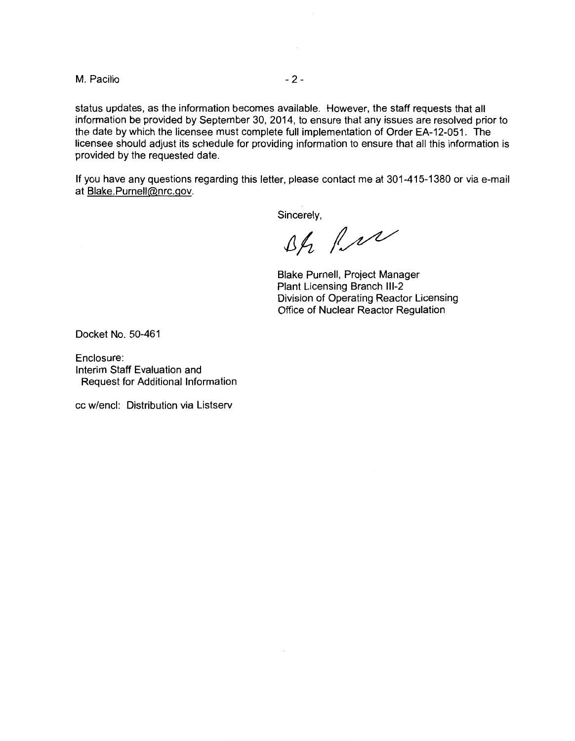M. Pacilio  $-2$ -

status updates, as the information becomes available. However, the staff requests that all information be provided by September 30, 2014, to ensure that any issues are resolved prior to the date by which the licensee must complete full implementation of Order EA-12-051. The licensee should adjust its schedule for providing information to ensure that all this information is provided by the requested date.

If you have any questions regarding this letter, please contact me at 301-415-1380 or via e-mail at Blake.Purnell@nrc.gov.

Sincerely,<br> $\Delta f_1$  /  $\Delta V$ 

Blake Purnell, Project Manager Plant Licensing Branch 111-2 Division of Operating Reactor Licensing Office of Nuclear Reactor Regulation

Docket No. 50-461

Enclosure: Interim Staff Evaluation and Request for Additional Information

cc w/encl: Distribution via Listserv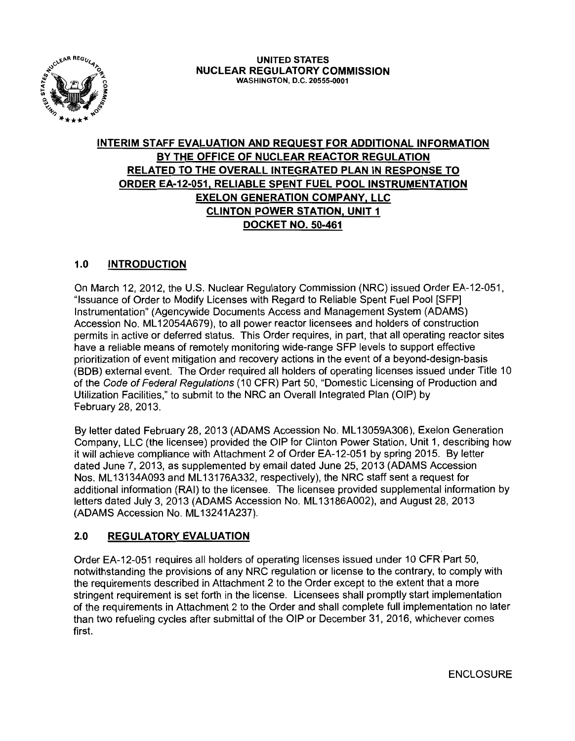

# **INTERIM STAFF EVALUATION AND REQUEST FOR ADDITIONAL INFORMATION BY THE OFFICE OF NUCLEAR REACTOR REGULATION RELATED TO THE OVERALL INTEGRATED PLAN IN RESPONSE TO ORDER EA-12-051, RELIABLE SPENT FUEL POOL INSTRUMENTATION EXELON GENERATION COMPANY, LLC CLINTON POWER STATION, UNIT 1 DOCKET NO. 50-461**

# **1.0 INTRODUCTION**

On March 12,2012, the U.S. Nuclear Regulatory Commission (NRC) issued Order EA-12-051, "Issuance of Order to Modify Licenses with Regard to Reliable Spent Fuel Pool [SFP] Instrumentation" (Agencywide Documents Access and Management System (ADAMS) Accession No. ML 12054A679), to all power reactor licensees and holders of construction permits in active or deferred status. This Order requires, in part, that all operating reactor sites have a reliable means of remotely monitoring wide-range SFP levels to support effective prioritization of event mitigation and recovery actions in the event of a beyond-design-basis (BDB) external event. The Order required all holders of operating licenses issued under Title 10 of the Code of Federal Regulations (10 CFR) Part 50, "Domestic Licensing of Production and Utilization Facilities," to submit to the NRC an Overall Integrated Plan (OIP) by February 28, 2013.

By letter dated February 28, 2013 (ADAMS Accession No. ML 13059A306), Exelon Generation Company, LLC {the licensee) provided the OIP for Clinton Power Station, Unit 1, describing how it will achieve compliance with Attachment 2 of Order EA-12-051 by spring 2015. By letter dated June 7, 2013, as supplemented by email dated June 25, 2013 (ADAMS Accession Nos. ML 13134A093 and ML 13176A332, respectively), the NRC staff sent a request for additional information (RAI) to the licensee. The licensee provided supplemental information by letters dated July 3, 2013 (ADAMS Accession No. ML 13186A002), and August 28, 2013 (ADAMS Accession No. ML13241A237).

# **2.0 REGULATORY EVALUATION**

Order EA-12-051 requires all holders of operating licenses issued under 10 CFR Part 50, notwithstanding the provisions of any NRC regulation or license to the contrary, to comply with the requirements described in Attachment 2 to the Order except to the extent that a more stringent requirement is set forth in the license. Licensees shall promptly start implementation of the requirements in Attachment 2 to the Order and shall complete full implementation no later than two refueling cycles after submittal of the OIP or December 31, 2016, whichever comes first.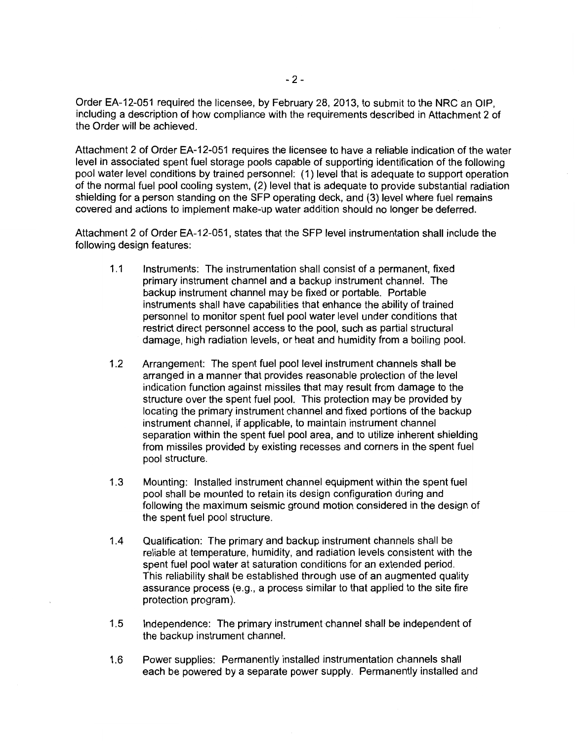Order EA-12-051 required the licensee, by February 28, 2013, to submit to the NRC an OIP, including a description of how compliance with the requirements described in Attachment 2 of the Order will be achieved.

Attachment 2 of Order EA-12-051 requires the licensee to have a reliable indication of the water level in associated spent fuel storage pools capable of supporting identification of the following pool water level conditions by trained personnel: (1) level that is adequate to support operation of the normal fuel pool cooling system, (2) level that is adequate to provide substantial radiation shielding for a person standing on the SFP operating deck, and (3) level where fuel remains covered and actions to implement make-up water addition should no longer be deferred.

Attachment 2 of Order EA-12-051, states that the SFP level instrumentation shall include the following design features:

- 1.1 Instruments: The instrumentation shall consist of a permanent, fixed primary instrument channel and a backup instrument channel. The backup instrument channel may be fixed or portable. Portable instruments shall have capabilities that enhance the ability of trained personnel to monitor spent fuel pool water level under conditions that restrict direct personnel access to the pool, such as partial structural damage, high radiation levels, or heat and humidity from a boiling pool.
- 1.2 Arrangement: The spent fuel pool level instrument channels shall be arranged in a manner that provides reasonable protection of the level indication function against missiles that may result from damage to the structure over the spent fuel pool. This protection may be provided by locating the primary instrument channel and fixed portions of the backup instrument channel, if applicable, to maintain instrument channel separation within the spent fuel pool area, and to utilize inherent shielding from missiles provided by existing recesses and corners in the spent fuel pool structure.
- 1.3 Mounting: Installed instrument channel equipment within the spent fuel pool shall be mounted to retain its design configuration during and following the maximum seismic ground motion considered in the design of the spent fuel pool structure.
- 1.4 Qualification: The primary and backup instrument channels shall be reliable at temperature, humidity, and radiation levels consistent with the spent fuel pool water at saturation conditions for an extended period. This reliability shall be established through use of an augmented quality assurance process (e.g., a process similar to that applied to the site fire protection program).
- 1.5 Independence: The primary instrument channel shall be independent of the backup instrument channel.
- 1.6 Power supplies: Permanently installed instrumentation channels shall each be powered by a separate power supply. Permanently installed and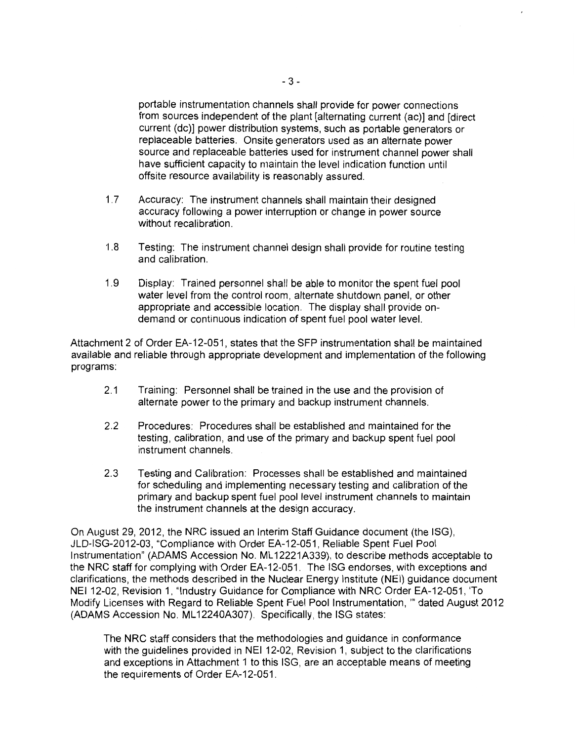portable instrumentation channels shall provide for power connections from sources independent of the plant [alternating current (ac)] and [direct current (de)] power distribution systems, such as portable generators or replaceable batteries. Onsite generators used as an alternate power source and replaceable batteries used for instrument channel power shall have sufficient capacity to maintain the level indication function until offsite resource availability is reasonably assured.

- 1.7 Accuracy: The instrument channels shall maintain their designed accuracy following a power interruption or change in power source without recalibration.
- 1.8 Testing: The instrument channel design shall provide for routine testing and calibration.
- 1.9 Display: Trained personnel shall be able to monitor the spent fuel pool water level from the control room, alternate shutdown panel, or other appropriate and accessible location. The display shall provide ondemand or continuous indication of spent fuel pool water level.

Attachment 2 of Order EA-12-051, states that the SFP instrumentation shall be maintained available and reliable through appropriate development and implementation of the following programs:

- 2.1 Training: Personnel shall be trained in the use and the provision of alternate power to the primary and backup instrument channels.
- 2.2 Procedures: Procedures shall be established and maintained for the testing, calibration, and use of the primary and backup spent fuel pool instrument channels.
- 2.3 Testing and Calibration: Processes shall be established and maintained for scheduling and implementing necessary testing and calibration of the primary and backup spent fuel pool level instrument channels to maintain the instrument channels at the design accuracy.

On August 29, 2012, the NRC issued an Interim Staff Guidance document (the ISG), JLD-ISG-2012-03, "Compliance with Order EA-12-051, Reliable Spent Fuel Pool Instrumentation" (ADAMS Accession No. ML 12221A339), to describe methods acceptable to the NRC staff for complying with Order EA-12-051. The ISG endorses, with exceptions and clarifications, the methods described in the Nuclear Energy Institute (NEI) guidance document NEI 12-02, Revision 1. "Industry Guidance for Compliance with NRC Order EA-12-051, 'To Modify Licenses with Regard to Reliable Spent Fuel Pool Instrumentation, "' dated August 2012 (ADAMS Accession No. ML 12240A307). Specifically, the ISG states:

The NRC staff considers that the methodologies and guidance in conformance with the guidelines provided in NEI 12-02, Revision 1, subject to the clarifications and exceptions in Attachment 1 to this ISG, are an acceptable means of meeting the requirements of Order EA-12-051.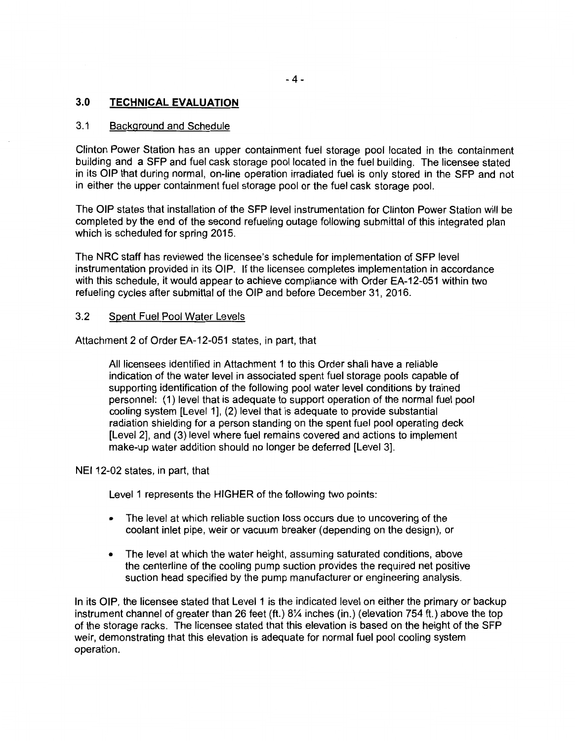# 3.0 **TECHNICAL EVALUATION**

#### 3.1 Background and Schedule

Clinton Power Station has an upper containment fuel storage pool located in the containment building and a SFP and fuel cask storage pool located in the fuel building. The licensee stated in its OIP that during normal, on-line operation irradiated fuel is only stored in the SFP and not in either the upper containment fuel storage pool or the fuel cask storage pool.

The OIP states that installation of the SFP level instrumentation for Clinton Power Station will be completed by the end of the second refueling outage following submittal of this integrated plan which is scheduled for spring 2015.

The NRC staff has reviewed the licensee's schedule for implementation of SFP level instrumentation provided in its OIP. If the licensee completes implementation in accordance with this schedule, it would appear to achieve compliance with Order EA-12-051 within two refueling cycles after submittal of the OIP and before December 31, 2016.

#### 3.2 Spent Fuel Pool Water Levels

Attachment 2 of Order EA-12-051 states, in part, that

All licensees identified in Attachment 1 to this Order shall have a reliable indication of the water level in associated spent fuel storage pools capable of supporting identification of the following pool water level conditions by trained personnel: (1) level that is adequate to support operation of the normal fuel pool cooling system [Level 1], (2) level that is adequate to provide substantial radiation shielding for a person standing on the spent fuel pool operating deck [Level 2], and (3) level where fuel remains covered and actions to implement make-up water addition should no longer be deferred [Level 3].

NEI 12-02 states, in part, that

Level 1 represents the HIGHER of the following two points:

- The level at which reliable suction loss occurs due to uncovering of the coolant inlet pipe, weir or vacuum breaker (depending on the design), or
- The level at which the water height, assuming saturated conditions, above the centerline of the cooling pump suction provides the required net positive suction head specified by the pump manufacturer or engineering analysis.

In its OIP, the licensee stated that Level 1 is the indicated level on either the primary or backup instrument channel of greater than 26 feet (ft.) 8<sup>1/4</sup> inches (in.) (elevation 754 ft.) above the top of the storage racks. The licensee stated that this elevation is based on the height of the SFP weir, demonstrating that this elevation is adequate for normal fuel pool cooling system operation.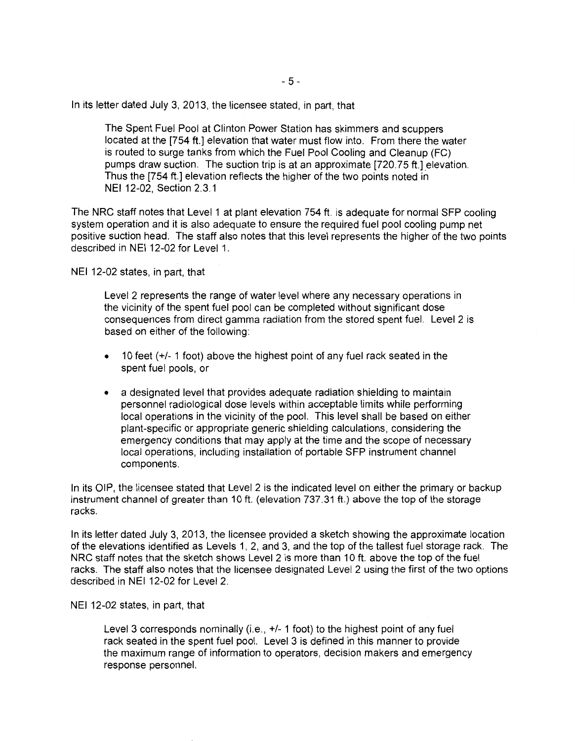In its letter dated July 3, 2013, the licensee stated, in part, that

The Spent Fuel Pool at Clinton Power Station has skimmers and scuppers located at the [754 ft.] elevation that water must flow into. From there the water is routed to surge tanks from which the Fuel Pool Cooling and Cleanup (FC) pumps draw suction. The suction trip is at an approximate [720.75 ft.] elevation. Thus the [754 ft.] elevation reflects the higher of the two points noted in NEI 12-02, Section 2.3.1

The NRC staff notes that Level 1 at plant elevation 754ft. is adequate for normal SFP cooling system operation and it is also adequate to ensure the required fuel pool cooling pump net positive suction head. The staff also notes that this level represents the higher of the two points described in NEI 12-02 for Level 1.

NEI 12-02 states, in part, that

Level 2 represents the range of water level where any necessary operations in the vicinity of the spent fuel pool can be completed without significant dose consequences from direct gamma radiation from the stored spent fuel. Level 2 is based on either of the following:

- $\bullet$  10 feet ( $+/-$  1 foot) above the highest point of any fuel rack seated in the spent fuel pools, or
- a designated level that provides adequate radiation shielding to maintain personnel radiological dose levels within acceptable limits while performing local operations in the vicinity of the pool. This level shall be based on either plant-specific or appropriate generic shielding calculations, considering the emergency conditions that may apply at the time and the scope of necessary local operations, including installation of portable SFP instrument channel components.

In its OIP, the licensee stated that Level 2 is the indicated level on either the primary or backup instrument channel of greater than 10 ft. (elevation 737.31 ft.) above the top of the storage racks.

In its letter dated July 3, 2013, the licensee provided a sketch showing the approximate location of the elevations identified as Levels 1, 2, and 3, and the top of the tallest fuel storage rack. The NRC staff notes that the sketch shows Level 2 is more than 10ft. above the top of the fuel racks. The staff also notes that the licensee designated Level 2 using the first of the two options described in NEI 12-02 for Level 2.

NEI 12-02 states, in part, that

Level 3 corresponds nominally (i.e., +/- 1 foot) to the highest point of any fuel rack seated in the spent fuel pool. Level 3 is defined in this manner to provide the maximum range of information to operators, decision makers and emergency response personnel.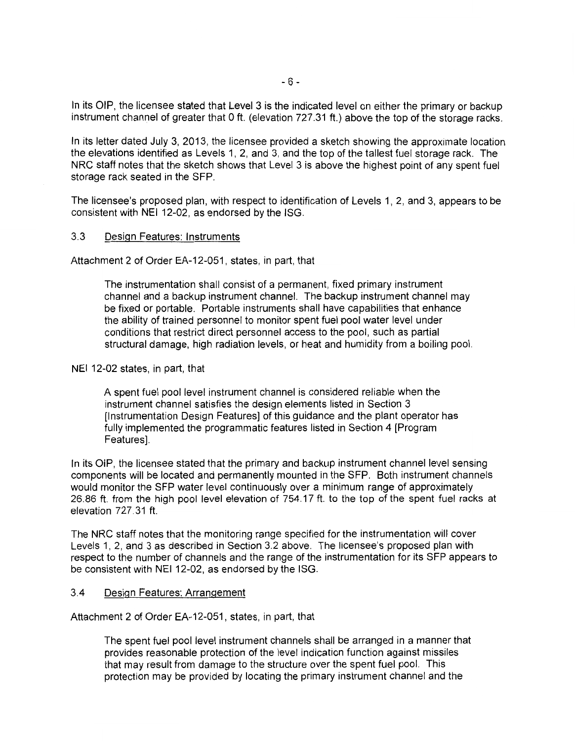In its OIP, the licensee stated that Level 3 is the indicated level on either the primary or backup instrument channel of greater that 0 ft. (elevation 727.31 ft.) above the top of the storage racks.

In its letter dated July 3, 2013, the licensee provided a sketch showing the approximate location the elevations identified as Levels 1, 2, and 3, and the top of the tallest fuel storage rack. The NRC staff notes that the sketch shows that Level 3 is above the highest point of any spent fuel storage rack seated in the SFP.

The licensee's proposed plan, with respect to identification of Levels 1, 2, and 3, appears to be consistent with NEI 12-02, as endorsed by the ISG.

#### 3.3 Design Features: Instruments

Attachment 2 of Order EA-12-051, states, in part, that

The instrumentation shall consist of a permanent, fixed primary instrument channel and a backup instrument channel. The backup instrument channel may be fixed or portable. Portable instruments shall have capabilities that enhance the ability of trained personnel to monitor spent fuel pool water level under conditions that restrict direct personnel access to the pool, such as partial structural damage, high radiation levels, or heat and humidity from a boiling pool.

#### NEI 12-02 states, in part, that

A spent fuel pool level instrument channel is considered reliable when the instrument channel satisfies the design elements listed in Section 3 [Instrumentation Design Features] of this guidance and the plant operator has fully implemented the programmatic features listed in Section 4 [Program Features].

In its OiP, the licensee stated that the primary and backup instrument channel level sensing components will be located and permanently mounted in the SFP. Both instrument channels would monitor the SFP water level continuously over a minimum range of approximately 26.86 ft. from the high pool level elevation of 754.17 ft. to the top of the spent fuel racks at elevation 727.31 ft.

The NRC staff notes that the monitoring range specified for the instrumentation will cover Levels 1, 2, and 3 as described in Section 3.2 above. The licensee's proposed plan with respect to the number of channels and the range of the instrumentation for its SFP appears to be consistent with NEI 12-02, as endorsed by the ISG.

#### 3.4 Design Features: Arrangement

Attachment 2 of Order EA-12-051, states, in part, that

The spent fuel pool level instrument channels shall be arranged in a manner that provides reasonable protection of the level indication function against missiles that may result from damage to the structure over the spent fuel pool. This protection may be provided by locating the primary instrument channel and the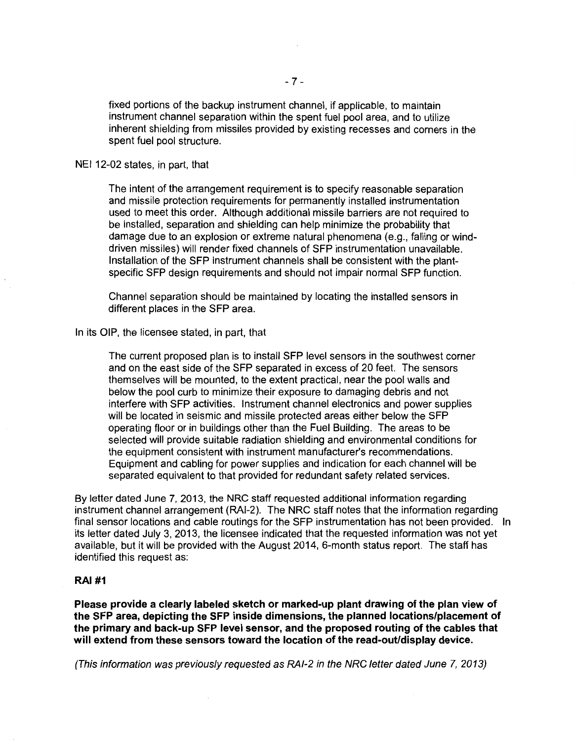fixed portions of the backup instrument channel, if applicable, to maintain instrument channel separation within the spent fuel pool area, and to utilize inherent shielding from missiles provided by existing recesses and corners in the spent fuel pool structure.

NEI 12-02 states, in part, that

The intent of the arrangement requirement is to specify reasonable separation and missile protection requirements for permanently installed instrumentation used to meet this order. Although additional missile barriers are not required to be installed, separation and shielding can help minimize the probability that damage due to an explosion or extreme natural phenomena (e.g., falling or winddriven missiles) will render fixed channels of SFP instrumentation unavailable. Installation of the SFP instrument channels shall be consistent with the plantspecific SFP design requirements and should not impair normal SFP function.

Channel separation should be maintained by locating the installed sensors in different places in the SFP area.

In its OIP, the licensee stated, in part, that

The current proposed plan is to install SFP level sensors in the southwest corner and on the east side of the SFP separated in excess of 20 feet. The sensors themselves will be mounted, to the extent practical, near the pool walls and below the pool curb to minimize their exposure to damaging debris and not interfere with SFP activities. Instrument channel electronics and power supplies will be located in seismic and missile protected areas either below the SFP operating floor or in buildings other than the Fuel Building. The areas to be selected will provide suitable radiation shielding and environmental conditions for the equipment consistent with instrument manufacturer's recommendations. Equipment and cabling for power supplies and indication for each channel will be separated equivalent to that provided for redundant safety related services.

By letter dated June 7, 2013, the NRC staff requested additional information regarding instrument channel arrangement (RAI-2). The NRC staff notes that the information regarding final sensor locations and cable routings for the SFP instrumentation has not been provided. In its letter dated July 3, 2013, the licensee indicated that the requested information was not yet available, but it will be provided with the August 2014, 6-month status report. The staff has identified this request as:

#### **RAI #1**

**Please provide a clearly labeled sketch or marked-up plant drawing of the plan view of the SFP area, depicting the SFP inside dimensions, the planned locations/placement of the primary and back-up SFP level sensor, and the proposed routing of the cables that will extend from these sensors toward the location of the read-out/display device.** 

(This information was previously requested as RAI-2 in the NRC letter dated June 7, 2013)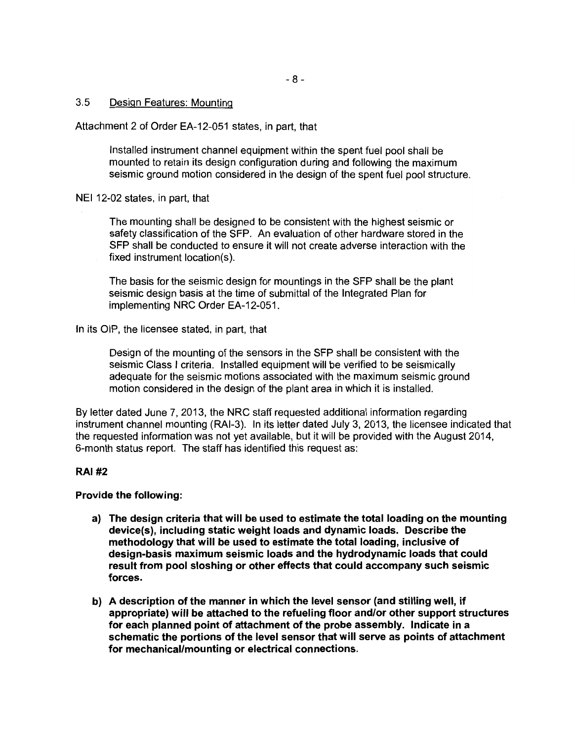3.5 Design Features: Mounting

Attachment 2 of Order EA-12-051 states, in part, that

Installed instrument channel equipment within the spent fuel pool shall be mounted to retain its design configuration during and following the maximum seismic ground motion considered in the design of the spent fuel pool structure.

NEI 12-02 states, in part, that

The mounting shall be designed to be consistent with the highest seismic or safety classification of the SFP. An evaluation of other hardware stored in the SFP shall be conducted to ensure it will not create adverse interaction with the fixed instrument location(s).

The basis for the seismic design for mountings in the SFP shall be the plant seismic design basis at the time of submittal of the Integrated Plan for implementing NRC Order EA-12-051.

In its OIP, the licensee stated, in part, that

Design of the mounting of the sensors in the SFP shall be consistent with the seismic Class I criteria. Installed equipment will be verified to be seismically adequate for the seismic motions associated with the maximum seismic ground motion considered in the design of the plant area in which it is installed.

By letter dated June 7, 2013, the NRC staff requested additional information regarding instrument channel mounting (RAI-3). In its letter dated July 3, 2013, the licensee indicated that the requested information was not yet available, but it will be provided with the August 2014, 6-month status report. The staff has identified this request as:

### RAI#2

Provide the following:

- a) The design criteria that will be used to estimate the total loading on the mounting device(s), including static weight loads and dynamic loads. Describe the methodology that will be used to estimate the total loading, inclusive of design-basis maximum seismic loads and the hydrodynamic loads that could result from pool sloshing or other effects that could accompany such seismic forces.
- b) A description of the manner in which the level sensor (and stilling well, if appropriate) will be attached to the refueling floor and/or other support structures for each planned point of attachment of the probe assembly. Indicate in a schematic the portions of the level sensor that will serve as points of attachment for mechanical/mounting or electrical connections.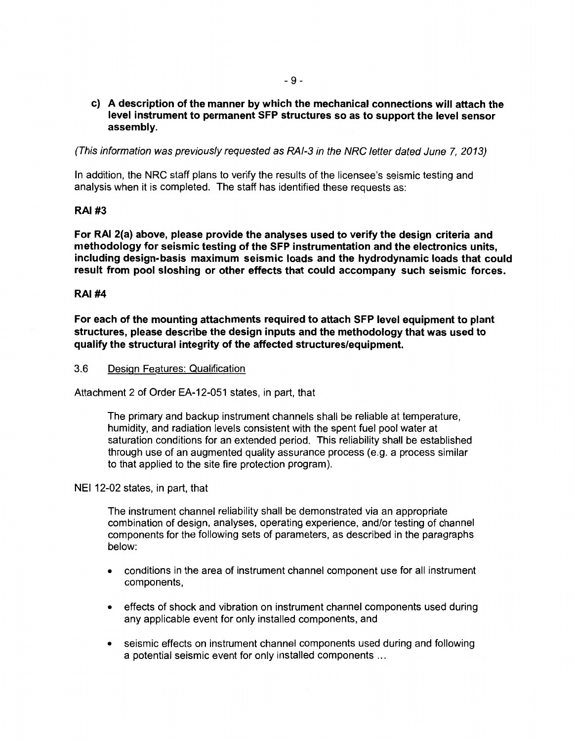## **c) A description of the manner by which the mechanical connections will attach the level instrument to permanent SFP structures so as to support the level sensor assembly.**

(This information was previously requested as RA/-3 in the NRC letter dated June 7, 2013)

In addition, the NRC staff plans to verify the results of the licensee's seismic testing and analysis when it is completed. The staff has identified these requests as:

# **RAI#3**

**For RAI 2(a) above, please provide the analyses used to verify the design criteria and methodology for seismic testing of the SFP instrumentation and the electronics units, including design-basis maximum seismic loads and the hydrodynamic loads that could result from pool sloshing or other effects that could accompany such seismic forces.** 

# **RAI#4**

**For each of the mounting attachments required to attach SFP level equipment to plant structures, please describe the design inputs and the methodology that was used to qualify the structural integrity of the affected structures/equipment.** 

3.6 Design Features: Qualification

Attachment 2 of Order EA-12-051 states, in part, that

The primary and backup instrument channels shall be reliable at temperature, humidity, and radiation levels consistent with the spent fuel pool water at saturation conditions for an extended period. This reliability shall be established through use of an augmented quality assurance process (e.g. a process similar to that applied to the site fire protection program).

NEI 12-02 states, in part, that

The instrument channel reliability shall be demonstrated via an appropriate combination of design, analyses, operating experience, and/or testing of channel components for the following sets of parameters, as described in the paragraphs below:

- conditions in the area of instrument channel component use for all instrument components,
- effects of shock and vibration on instrument channel components used during any applicable event for only installed components, and
- seismic effects on instrument channel components used during and following a potential seismic event for only installed components ...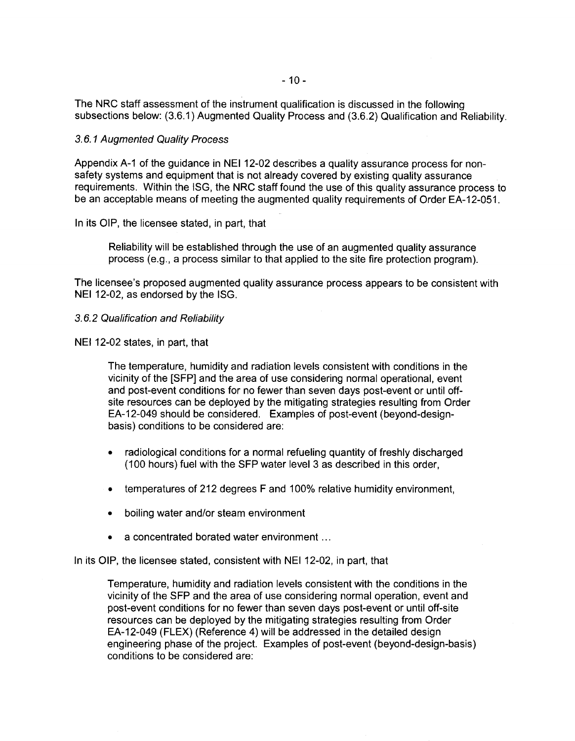The NRC staff assessment of the instrument qualification is discussed in the following subsections below: (3.6.1) Augmented Quality Process and (3.6.2) Qualification and Reliability.

#### 3.6.1 Augmented Quality Process

Appendix A-1 of the guidance in NEI 12-02 describes a quality assurance process for nonsafety systems and equipment that is not already covered by existing quality assurance requirements. Within the ISG, the NRC staff found the use of this quality assurance process to be an acceptable means of meeting the augmented quality requirements of Order EA-12-051.

In its OIP, the licensee stated, in part, that

Reliability will be established through the use of an augmented quality assurance process (e.g., a process similar to that applied to the site fire protection program).

The licensee's proposed augmented quality assurance process appears to be consistent with NEI 12-02, as endorsed by the ISG.

- 3.6.2 Qualification and Reliability
- NEI 12-02 states, in part, that

The temperature, humidity and radiation levels consistent with conditions in the vicinity of the [SFP] and the area of use considering normal operational, event and post-event conditions for no fewer than seven days post-event or until offsite resources can be deployed by the mitigating strategies resulting from Order EA-12-049 should be considered. Examples of post-event (beyond-designbasis) conditions to be considered are:

- radiological conditions for a normal refueling quantity of freshly discharged ( 100 hours) fuel with the SFP water level 3 as described in this order,
- temperatures of 212 degrees F and 100% relative humidity environment,
- boiling water and/or steam environment
- a concentrated borated water environment ...

In its OIP, the licensee stated, consistent with NEI 12-02, in part, that

Temperature, humidity and radiation levels consistent with the conditions in the vicinity of the SFP and the area of use considering normal operation, event and post-event conditions for no fewer than seven days post-event or until off-site resources can be deployed by the mitigating strategies resulting from Order EA-12-049 (FLEX) (Reference 4) will be addressed in the detailed design engineering phase of the project. Examples of post-event (beyond-design-basis) conditions to be considered are: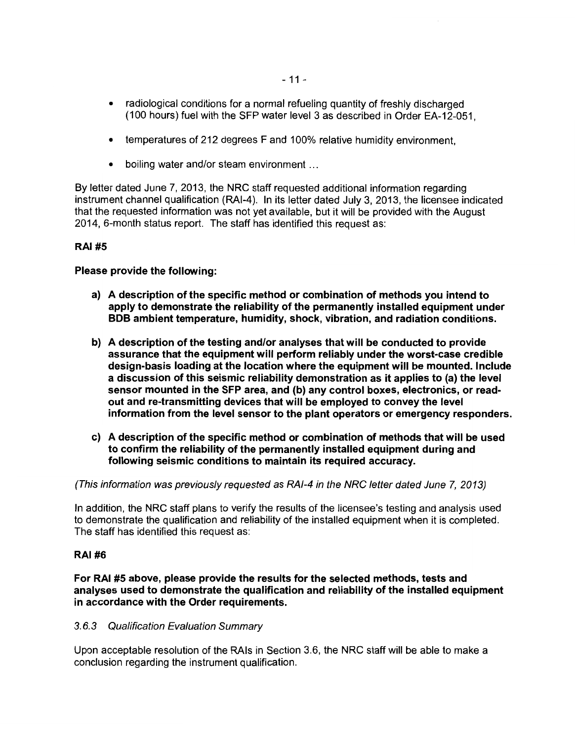- radiological conditions for a normal refueling quantity of freshly discharged (1 00 hours) fuel with the SFP water level 3 as described in Order EA-12-051,
- temperatures of 212 degrees F and 100% relative humidity environment,
- boiling water and/or steam environment ...

By letter dated June 7, 2013, the NRC staff requested additional information regarding instrument channel qualification (RAI-4 ). In its letter dated July 3, 2013, the licensee indicated that the requested information was not yet available, but it will be provided with the August 2014, 6-month status report. The staff has identified this request as:

# RAI#S

Please provide the following:

- a) A description of the specific method or combination of methods you intend to apply to demonstrate the reliability of the permanently installed equipment under BOB ambient temperature, humidity, shock, vibration, and radiation conditions.
- b) A description of the testing and/or analyses that will be conducted to provide assurance that the equipment will perform reliably under the worst-case credible design-basis loading at the location where the equipment will be mounted. Include a discussion of this seismic reliability demonstration as it applies to (a) the level sensor mounted in the SFP area, and (b) any control boxes, electronics, or readout and re-transmitting devices that will be employed to convey the level information from the level sensor to the plant operators or emergency responders.
- c) A description of the specific method or combination of methods that will be used to confirm the reliability of the permanently installed equipment during and following seismic conditions to maintain its required accuracy.

(This information was previously requested as RAI-4 in the NRC letter dated June 7, 2013)

In addition, the NRC staff plans to verify the results of the licensee's testing and analysis used to demonstrate the qualification and reliability of the installed equipment when it is completed. The staff has identified this request as:

### RAI#6

For RAI #5 above, please provide the results for the selected methods, tests and analyses used to demonstrate the qualification and reliability of the installed equipment in accordance with the Order requirements.

### 3.6.3 Qualification Evaluation Summary

Upon acceptable resolution of the RAis in Section 3.6, the NRC staff will be able to make a conclusion regarding the instrument qualification.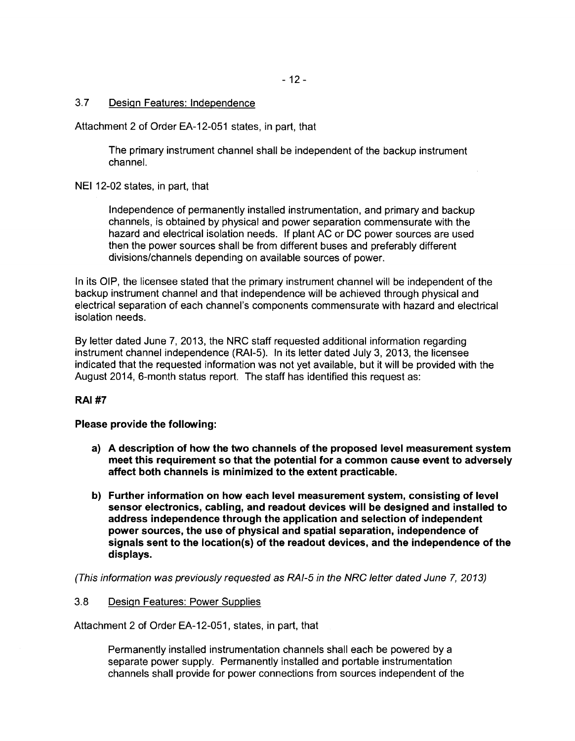### 3.7 Design Features: Independence

Attachment 2 of Order EA-12-051 states, in part, that

The primary instrument channel shall be independent of the backup instrument channel.

NEI 12-02 states, in part, that

Independence of permanently installed instrumentation, and primary and backup channels, is obtained by physical and power separation commensurate with the hazard and electrical isolation needs. If plant AC or DC power sources are used then the power sources shall be from different buses and preferably different divisions/channels depending on available sources of power.

In its OIP, the licensee stated that the primary instrument channel will be independent of the backup instrument channel and that independence will be achieved through physical and electrical separation of each channel's components commensurate with hazard and electrical isolation needs.

By letter dated June 7, 2013, the NRC staff requested additional information regarding instrument channel independence (RAI-5). In its letter dated July 3, 2013, the licensee indicated that the requested information was not yet available, but it will be provided with the August 2014, 6-month status report. The staff has identified this request as:

# **RAI#7**

### **Please provide the following:**

- **a) A description of how the two channels of the proposed level measurement system meet this requirement so that the potential for a common cause event to adversely affect both channels is minimized to the extent practicable.**
- **b) Further information on how each level measurement system, consisting of level sensor electronics, cabling, and readout devices will be designed and installed to address independence through the application and selection of independent power sources, the use of physical and spatial separation, independence of signals sent to the location(s) of the readout devices, and the independence of the displays.**

(This information was previously requested as RAI-5 in the NRC letter dated June 7, 2013)

### 3.8 Design Features: Power Supplies

Attachment 2 of Order EA-12-051, states, in part, that

Permanently installed instrumentation channels shall each be powered by a separate power supply. Permanently installed and portable instrumentation channels shall provide for power connections from sources independent of the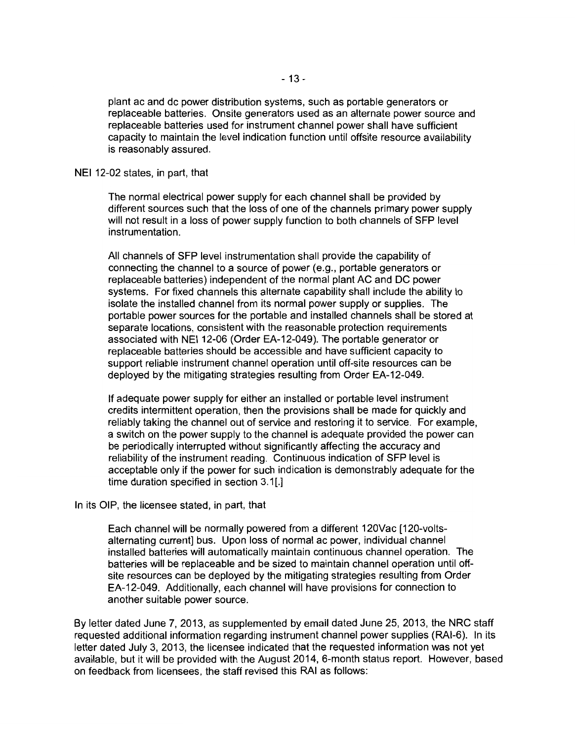plant ac and de power distribution systems, such as portable generators or replaceable batteries. Onsite generators used as an alternate power source and replaceable batteries used for instrument channel power shall have sufficient capacity to maintain the level indication function until offsite resource availability is reasonably assured.

#### NEI 12-02 states, in part, that

The normal electrical power supply for each channel shall be provided by different sources such that the loss of one of the channels primary power supply will not result in a loss of power supply function to both channels of SFP level instrumentation.

All channels of SFP level instrumentation shall provide the capability of connecting the channel to a source of power (e.g., portable generators or replaceable batteries) independent of the normal plant AC and DC power systems. For fixed channels this alternate capability shall include the ability to isolate the installed channel from its normal power supply or supplies. The portable power sources for the portable and installed channels shall be stored at separate locations, consistent with the reasonable protection requirements associated with NEI 12-06 (Order EA-12-049). The portable generator or replaceable batteries should be accessible and have sufficient capacity to support reliable instrument channel operation until off-site resources can be deployed by the mitigating strategies resulting from Order EA-12-049.

If adequate power supply for either an installed or portable level instrument credits intermittent operation, then the provisions shall be made for quickly and reliably taking the channel out of service and restoring it to service. For example, a switch on the power supply to the channel is adequate provided the power can be periodically interrupted without significantly affecting the accuracy and reliability of the instrument reading. Continuous indication of SFP level is acceptable only if the power for such indication is demonstrably adequate for the time duration specified in section 3.1[.]

#### In its OIP, the licensee stated, in part, that

Each channel will be normally powered from a different 120Vac [120-voltsalternating current] bus. Upon loss of normal ac power, individual channel installed batteries will automatically maintain continuous channel operation. The batteries will be replaceable and be sized to maintain channel operation until offsite resources can be deployed by the mitigating strategies resulting from Order EA-12-049. Additionally, each channel will have provisions for connection to another suitable power source.

By letter dated June 7, 2013, as supplemented by email dated June 25, 2013, the NRC staff requested additional information regarding instrument channel power supplies (RAI-6). In its letter dated July 3, 2013, the licensee indicated that the requested information was not yet available, but it will be provided with the August 2014, 6-month status report. However, based on feedback from licensees, the staff revised this RAI as follows: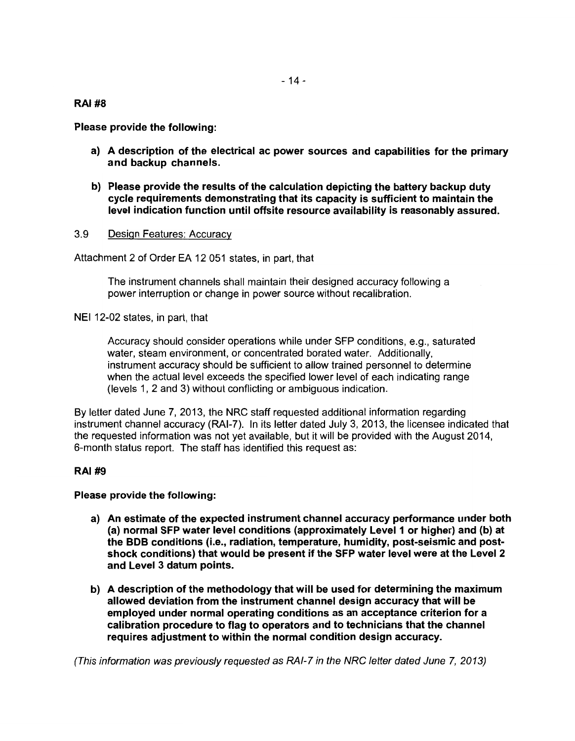RAI#8

Please provide the following:

- a} A description of the electrical ac power sources and capabilities for the primary and backup channels.
- b) Please provide the results of the calculation depicting the battery backup duty cycle requirements demonstrating that its capacity is sufficient to maintain the level indication function until offsite resource availability is reasonably assured.
- 3.9 Design Features: Accuracy

Attachment 2 of Order EA 12 051 states, in part, that

The instrument channels shall maintain their designed accuracy following a power interruption or change in power source without recalibration.

NEI 12-02 states, in part, that

Accuracy should consider operations while under SFP conditions, e.g., saturated water, steam environment, or concentrated borated water. Additionally, instrument accuracy should be sufficient to allow trained personnel to determine when the actual level exceeds the specified lower level of each indicating range (levels 1, 2 and 3) without conflicting or ambiguous indication.

By letter dated June 7, 2013, the NRC staff requested additional information regarding instrument channel accuracy (RAI-7). In its letter dated July 3, 2013, the licensee indicated that the requested information was not yet available, but it will be provided with the August 2014, 6-month status report. The staff has identified this request as:

### RAI#9

### Please provide the following:

- a} An estimate of the expected instrument channel accuracy performance under both (a} normal SFP water level conditions (approximately Level 1 or higher} and (b) at the BOB conditions (i.e., radiation, temperature, humidity, post-seismic and postshock conditions} that would be present if the SFP water level were at the Level 2 and Level 3 datum points.
- b) A description of the methodology that will be used for determining the maximum allowed deviation from the instrument channel design accuracy that will be employed under normal operating conditions as an acceptance criterion for a calibration procedure to flag to operators and to technicians that the channel requires adjustment to within the normal condition design accuracy.

(This information was previously requested as RAI-7 in the NRC letter dated June 7, 2013)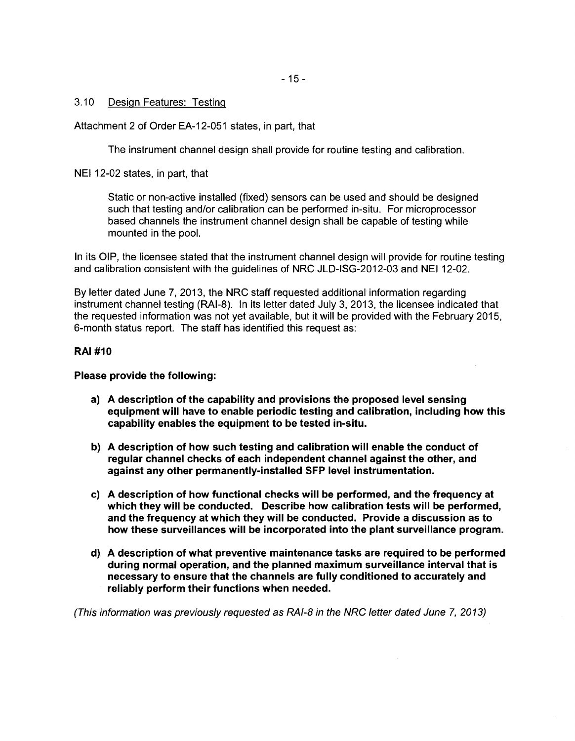- 15-

## 3.10 Design Features: Testing

Attachment 2 of Order EA-12-051 states, in part, that

The instrument channel design shall provide for routine testing and calibration.

NEI 12-02 states, in part, that

Static or non-active installed (fixed) sensors can be used and should be designed such that testing and/or calibration can be performed in-situ. For microprocessor based channels the instrument channel design shall be capable of testing while mounted in the pool.

In its OIP, the licensee stated that the instrument channel design will provide for routine testing and calibration consistent with the quidelines of NRC JLD-ISG-2012-03 and NEI 12-02.

By letter dated June 7, 2013, the NRC staff requested additional information regarding instrument channel testing (RAI-8). In its letter dated July 3, 2013, the licensee indicated that the requested information was not yet available, but it will be provided with the February 2015, 6-month status report. The staff has identified this request as:

# RAI #10

Please provide the following:

- a) A description of the capability and provisions the proposed level sensing equipment will have to enable periodic testing and calibration, including how this capability enables the equipment to be tested in-situ.
- b) A description of how such testing and calibration will enable the conduct of regular channel checks of each independent channel against the other, and against any other permanently-installed SFP level instrumentation.
- c) A description of how functional checks will be performed, and the frequency at which they will be conducted. Describe how calibration tests will be performed, and the frequency at which they will be conducted. Provide a discussion as to how these surveillances will be incorporated into the plant surveillance program.
- d) A description of what preventive maintenance tasks are required to be performed during normal operation, and the planned maximum surveillance interval that is necessary to ensure that the channels are fully conditioned to accurately and reliably perform their functions when needed.

(This information was previously requested as RAI-8 in the NRC letter dated June 7, 2013)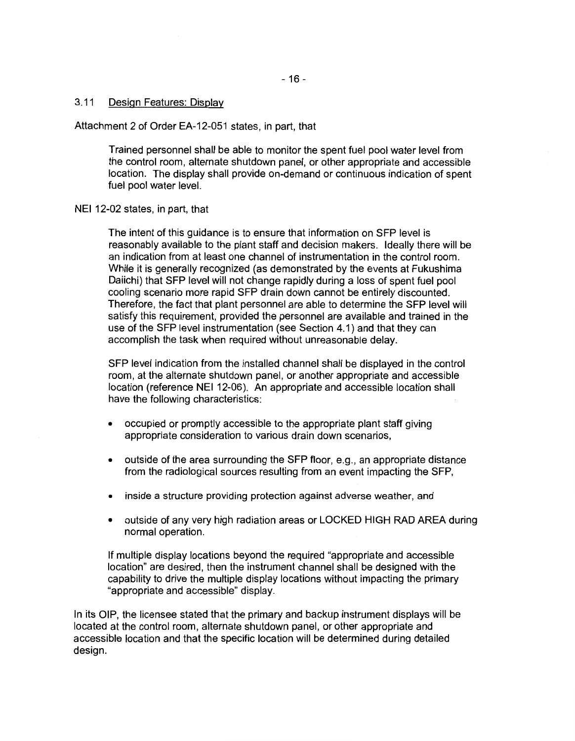## 3.11 Design Features: Display

Attachment 2 of Order EA-12-051 states, in part, that

Trained personnel shall be able to monitor the spent fuel pool water level from the control room, alternate shutdown panel, or other appropriate and accessible location. The display shall provide on-demand or continuous indication of spent fuel pool water level.

NEI 12-02 states, in part, that

The intent of this guidance is to ensure that information on SFP level is reasonably available to the plant staff and decision makers. Ideally there will be an indication from at least one channel of instrumentation in the control room. While it is generally recognized (as demonstrated by the events at Fukushima Daiichi) that SFP level will not change rapidly during a loss of spent fuel pool cooling scenario more rapid SFP drain down cannot be entirely discounted. Therefore, the fact that plant personnel are able to determine the SFP level will satisfy this requirement, provided the personnel are available and trained in the use of the SFP level instrumentation (see Section 4.1) and that they can accomplish the task when required without unreasonable delay.

SFP level indication from the installed channel shall be displayed in the control room, at the alternate shutdown panel, or another appropriate and accessible location (reference NEI 12-06). An appropriate and accessible location shall have the following characteristics:

- occupied or promptly accessible to the appropriate plant staff giving appropriate consideration to various drain down scenarios,
- outside of the area surrounding the SFP floor, e.g., an appropriate distance from the radiological sources resulting from an event impacting the SFP,
- inside a structure providing protection against adverse weather, and
- outside of any very high radiation areas or LOCKED HIGH RAD AREA during normal operation.

If multiple display locations beyond the required "appropriate and accessible location" are desired, then the instrument channel shall be designed with the capability to drive the multiple display locations without impacting the primary "appropriate and accessible" display.

In its OIP, the licensee stated that the primary and backup instrument displays will be located at the control room, alternate shutdown panel, or other appropriate and accessible location and that the specific location will be determined during detailed design.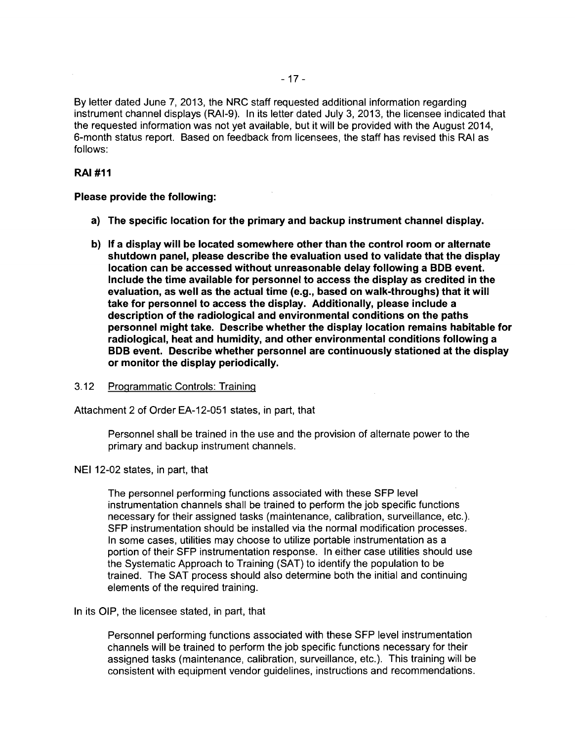By letter dated June 7, 2013, the NRC staff requested additional information regarding instrument channel displays (RAI-9). In its letter dated July 3, 2013, the licensee indicated that the requested information was not yet available, but it will be provided with the August 2014, 6-month status report. Based on feedback from licensees, the staff has revised this RAI as follows:

# RAI #11

Please provide the following:

- a) The specific location for the primary and backup instrument channel display.
- b) If a display will be located somewhere other than the control room or alternate shutdown panel, please describe the evaluation used to validate that the display location can be accessed without unreasonable delay following a BOB event. Include the time available for personnel to access the display as credited in the evaluation, as well as the actual time (e.g., based on walk-throughs) that it will take for personnel to access the display. Additionally, please include a description of the radiological and environmental conditions on the paths personnel might take. Describe whether the display location remains habitable for radiological, heat and humidity, and other environmental conditions following a BOB event. Describe whether personnel are continuously stationed at the display or monitor the display periodically.
- 3.12 Programmatic Controls: Training

Attachment 2 of Order EA-12-051 states, in part, that

Personnel shall be trained in the use and the provision of alternate power to the primary and backup instrument channels.

NEI 12-02 states, in part, that

The personnel performing functions associated with these SFP level instrumentation channels shall be trained to perform the job specific functions necessary for their assigned tasks (maintenance, calibration, surveillance, etc.). SFP instrumentation should be installed via the normal modification processes. In some cases, utilities may choose to utilize portable instrumentation as a portion of their SFP instrumentation response. In either case utilities should use the Systematic Approach to Training (SAT) to identify the population to be trained. The SAT process should also determine both the initial and continuing elements of the required training.

In its OIP, the licensee stated, in part, that

Personnel performing functions associated with these SFP level instrumentation channels will be trained to perform the job specific functions necessary for their assigned tasks (maintenance, calibration, surveillance, etc.). This training will be consistent with equipment vendor guidelines, instructions and recommendations.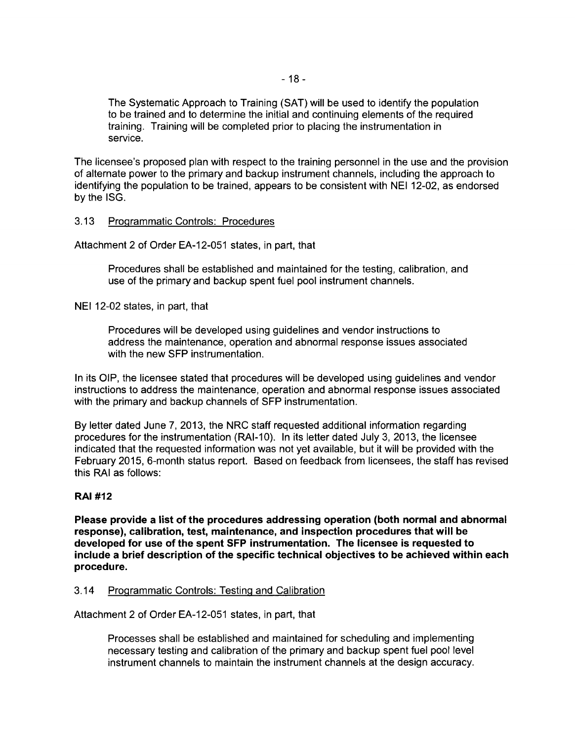The Systematic Approach to Training (SAT) will be used to identify the population to be trained and to determine the initial and continuing elements of the required training. Training will be completed prior to placing the instrumentation in service.

The licensee's proposed plan with respect to the training personnel in the use and the provision of alternate power to the primary and backup instrument channels, including the approach to identifying the population to be trained, appears to be consistent with NEI 12-02, as endorsed by the ISG.

### 3.13 Programmatic Controls: Procedures

Attachment 2 of Order EA-12-051 states, in part, that

Procedures shall be established and maintained for the testing, calibration, and use of the primary and backup spent fuel pool instrument channels.

NEI 12-02 states, in part, that

Procedures will be developed using guidelines and vendor instructions to address the maintenance, operation and abnormal response issues associated with the new SFP instrumentation.

In its OIP, the licensee stated that procedures will be developed using guidelines and vendor instructions to address the maintenance, operation and abnormal response issues associated with the primary and backup channels of SFP instrumentation.

By letter dated June 7, 2013, the NRC staff requested additional information regarding procedures for the instrumentation (RAI-10). In its letter dated July 3, 2013, the licensee indicated that the requested information was not yet available, but it will be provided with the February 2015, 6-month status report. Based on feedback from licensees, the staff has revised this RAI as follows:

# **RAI #12**

**Please provide a list of the procedures addressing operation (both normal and abnormal response}, calibration, test, maintenance, and inspection procedures that will be developed for use of the spent SFP instrumentation. The licensee is requested to include a brief description of the specific technical objectives to be achieved within each procedure.** 

#### 3.14 Programmatic Controls: Testing and Calibration

Attachment 2 of Order EA-12-051 states, in part, that

Processes shall be established and maintained for scheduling and implementing necessary testing and calibration of the primary and backup spent fuel pool level instrument channels to maintain the instrument channels at the design accuracy.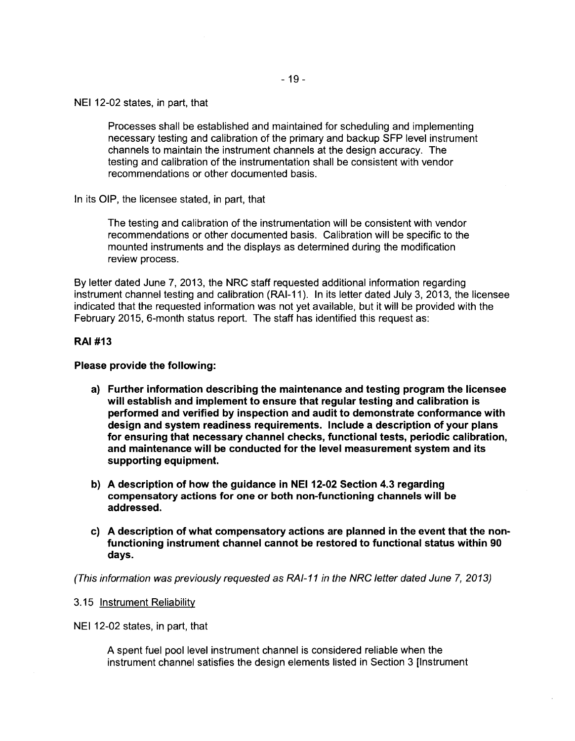NEI 12-02 states, in part, that

Processes shall be established and maintained for scheduling and implementing necessary testing and calibration of the primary and backup SFP level instrument channels to maintain the instrument channels at the design accuracy. The testing and calibration of the instrumentation shall be consistent with vendor recommendations or other documented basis.

In its OIP, the licensee stated, in part, that

The testing and calibration of the instrumentation will be consistent with vendor recommendations or other documented basis. Calibration will be specific to the mounted instruments and the displays as determined during the modification review process.

By letter dated June 7, 2013, the NRC staff requested additional information regarding instrument channel testing and calibration (RAI-11 ). In its letter dated July 3, 2013, the licensee indicated that the requested information was not yet available, but it will be provided with the February 2015, 6-month status report. The staff has identified this request as:

#### RAI #13

#### Please provide the following:

- a) Further information describing the maintenance and testing program the licensee will establish and implement to ensure that regular testing and calibration is performed and verified by inspection and audit to demonstrate conformance with design and system readiness requirements. Include a description of your plans for ensuring that necessary channel checks, functional tests, periodic calibration, and maintenance will be conducted for the level measurement system and its supporting equipment.
- b) A description of how the guidance in NEI 12-02 Section 4.3 regarding compensatory actions for one or both non-functioning channels will be addressed.
- c) A description of what compensatory actions are planned in the event that the nonfunctioning instrument channel cannot be restored to functional status within 90 days.

(This information was previously requested as RA/-11 in the NRC Jetter dated June 7, 2013)

#### 3.15 Instrument Reliability

NEI 12-02 states, in part, that

A spent fuel pool level instrument channel is considered reliable when the instrument channel satisfies the design elements listed in Section 3 [Instrument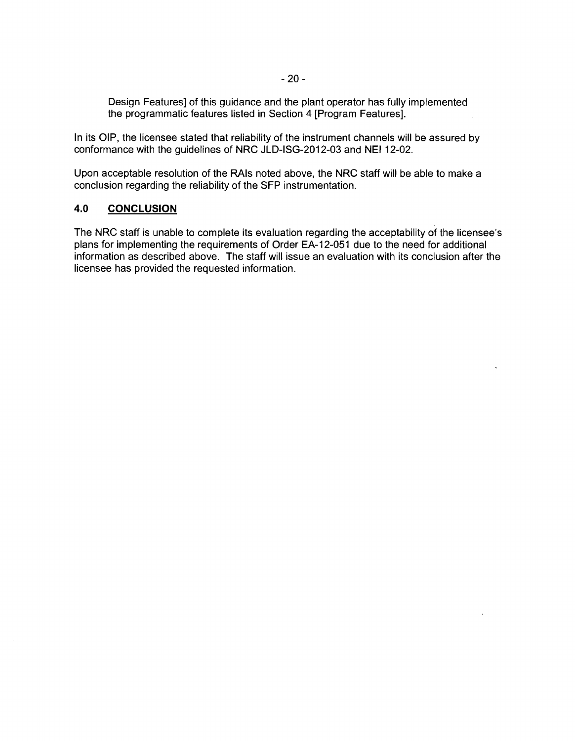Design Features] of this guidance and the plant operator has fully implemented the programmatic features listed in Section 4 [Program Features].

In its OIP, the licensee stated that reliability of the instrument channels will be assured by conformance with the guidelines of NRC JLD-ISG-2012-03 and NEI 12-02.

Upon acceptable resolution of the RAis noted above, the NRC staff will be able to make a conclusion regarding the reliability of the SFP instrumentation.

### **4.0 CONCLUSION**

The NRC staff is unable to complete its evaluation regarding the acceptability of the licensee's plans for implementing the requirements of Order EA-12-051 due to the need for additional information as described above. The staff will issue an evaluation with its conclusion after the licensee has provided the requested information.